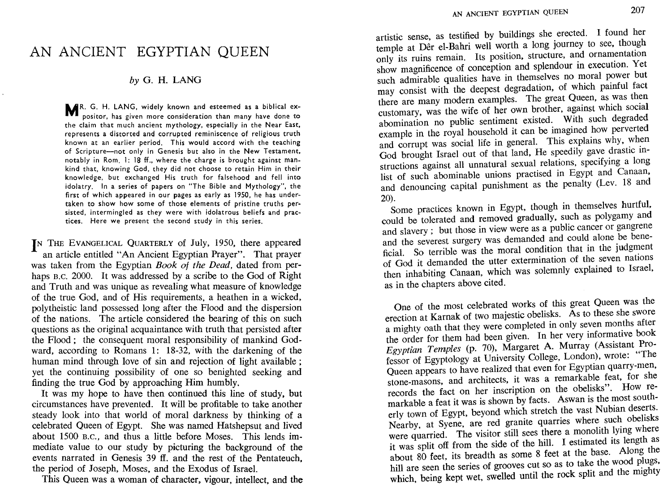## AN ANCIENT EGYPTIAN QUEEN

## *by* G. H. LANG

MR. G. H. LANG, widely known and esteemed as a biblical expositor, has given more consideration than many have done to the claim that much ancient mythology, especially in the Near East, represents a distorted and corrupted reminiscence of religious truth known at an earlier period. This would accord with the teaching of Scripture-not only in Genesis but also in the New Testament, notably in Rom. 1: 18 ff., where the charge is brought against mankind that, knowing God, they did not choose to retain Him in their knowledge, but exchanged His truth for falsehood and fell into idolatry. In a series of papers on "The Bible and Mythology", the first of which appeared in our pages as early as 1950, he has undertaken to show how some of those elements of pristine truths persisted, intermingled as they were with idolatrous beliefs and practices. Here we present the second study in this series.

**IN** THE EVANGELICAL QUARTERLY of July. 1950. there appeared an article entitled "An Ancient Egyptian Prayer". That prayer was taken from the Egyptian *Book ot the Dead,* dated from perhaps B.C. 2000. It was addressed by a scribe to the God of Right and Truth and was unique as revealing what measure of knowledge of the true God. and of His requirements. a heathen in a wicked. polytheistic land possessed long after the Flood and the dispersion of the nations. The article considered the bearing of this on such questions as the original acquaintance with truth that persisted after the Flood; the consequent moral responsibility of mankind Godward, according to Romans 1: 18-32, with the darkening of the human mind through love of sin and rejection of light available; yet the continuing possibility of one so benighted seeking and finding the true God by approaching Him humbly.

. It was my hope to have then continued this line of study. but circumstances have prevented. It will be profitable to take another steady look into that world of moral darkness by thinking of a celebrated Queen of Egypt. She was named Hatshepsut and lived about 1500 B.C., and thus a little before Moses. This lends immediate value to our study by picturing the background of the events narrated in Genesis 39 ff. and the rest of the Pentateuch the period of Joseph. Moses. and the Exodus of Israel. •

This Queen was a woman of character. vigour. intellect, and the

artistic sense. as testified by buildings she erected. I found her temple at Dêr el-Bahri well worth a long journey to see, though only its ruins remain. Its position, structure, and ornamentation show magnificence of conception and splendour in execution. Yet such admirable qualities have in themselves no moral power but may consist with the deepest degradation. of which painful fact there are many modern examples. The great Queen. as was then customary. was the wife of her own brother. against which social abomination no public sentiment existed. With such degraded example in the royal household it can be imagined how perverted and corrupt was social life in general. This explains why. when God brought Israel out of that land. He speedily gave drastic instructions against all unnatural sexual relations. specifying a long list of such abominable unions practised in Egypt and Canaan. and denouncing capital punishment as the penalty (Lev. 18 and 20).

Some practices known in Egypt. though in themselves hurtful. could be tolerated and removed gradually. such as polygamy and and slavery; but those in view were as a public cancer or gangrene and the severest surgery was demanded and could alone be beneficial. So terrible was the moral condition that in the judgment of God it demanded the utter extermination of the seven nations then inhabiting Canaan. which was solemnly explained to Israel. as in the chapters above cited.

One of the most celebrated works of this great Queen was the erection at Karnak of two majestic obelisks. As to these she swore a mighty oath that they were completed in only seven months after the order for them had been given. In her very informative book *Egyptian Temples* (p. 70). Margaret A. Murray (Assistant Professor of Egyptology at University College. London). wrote: "The Queen appears to have realized that even for Egyptian quarry-men. stone-masons. and architects. it was a remarkable feat. for she records the fact on her inscription on the obelisks". How remarkable a feat it was is shown by facts. Aswan is the most southerly town of Egypt, beyond which stretch the vast Nubian deserts. Nearby, at Syene, are red granite quarries where such obelisks were quarried. The visitor still sees there a monolith lying where it was split off from the side of the hill. I estimated its length as about 80 feet. its breadth as some 8 feet at the base. Along the hill are seen the series of grooves cut so as to take the wood plugs. which, being kept wet, swelled until the rock split and the mighty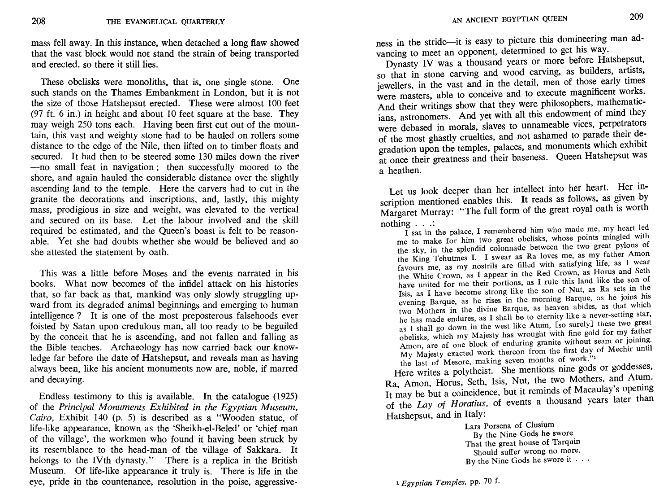mass fell away. In this instance. when detached a long flaw showed that the vast block would not stand the strain of being transported and erected, so there it still lies.

These obelisks were monoliths, that is, one single stone. One such stands on the Thames Embankment in London. but it is not the size of those Hatshepsut erected. These were almost 100 feet (97 ft. 6 in.) in height and about 10 feet square at the base. They may weigh 250 tons each. Having been first cut out of the mountain, this vast and weighty stone had to be hauled on rollers some distance to the edge of the Nile, then lifted on to timber floats and secured. It had then to be steered some 130 miles down the river -no small feat in navigation; then successfully moored to the shore, and again hauled the considerable distance over the slightly ascending land to the temple. Here the carvers had to cut in the granite the decorations and inscriptions, and, lastly, this mighty mass, prodigious in size and weight, was elevated to the vertical and secured on its base. Let the labour involved and the skill required be estimated, and the Queen's boast is felt to be reasonable. Yet she had doubts whether she would be believed and so she attested the statement by oath.

*This* was a little before Moses and the events narrated in his books. What now becomes of the infidel attack on his histories that, so far back as that, mankind was only slowly struggling upward from its degraded animal beginnings and emerging to human intelligence? It is one of the most preposterous falsehoods ever foisted by Satan upon credulous man, all too ready to be beguiled by the conceit that he is ascending, and not fallen and falling as the Bible teaches. Archaeology has now carried back our knowledge far before the date of Hatshepsut, and reveals man as having always been, like his ancient monuments now are, noble, if marred and decaying.

Endless testimony to this is available. In the catalogue (1925) of the *Principal Monuments Exhibited in the Egyptian Museum, Cairo,* Exhibit 140 (p. 5) is described as a "Wooden statue, of life-like appearance, known as the 'Sheikh-el-Beled' or 'chief man of the village', the workmen who found it having been struck by its resemblance to the head-man of the village of Sakkara. It belongs to the IVth dynasty." There is a replica in the British Museum. Of life-like appearance it truly is. There is life in the eye, pride in the countenance, resolution in the poise, aggressiveness in the stride-it is easy to picture this domineering man advancing to meet an opponent, determined to get his way.

Dynasty IV was a thousand years or more before Hatshepsut, so that in stone carving and wood carving, as builders, artists. jewellers, in the vast and in the detail, men of those early times were masters, able to conceive and to execute magnificent works. And their writings show that they were philosophers, mathematicians, astronomers. And yet with all this endowment of mind they were debased in morals, slaves to unnameable vices, perpetrators of the most ghastly cruelties, and not ashamed to parade their degradation upon the temples, palaces, and monuments which exhibit at once their greatness and their baseness. Queen Hatshepsut was a heathen.

Let us look deeper than her intellect into her heart. Her inscription mentioned enables this. It reads as follows, as given by Margaret Murray: "The full form of the great royal oath is worth nothing  $\ldots$ <br>
I sat in the palace, I remembered him who made me, my heart led

me to make for him two great obelisks, whose points mingled with the sky, in the splendid colonnade between the two great pylons of the King Tehutmes I. I swear as Ra loves me, as my father Amon favours me, as my nostrils are filled with satisfying life, as I wear the White Crown, as I appear in the Red Crown, as Horus and Seth have united for me their portions, as I rule this land like the son of Isis, as I have become strong like the son of Nut, as Ra sets in the evening Barque, as he rises in the morning Barque, as he joins his two Mothers in the divine Barque, as heaven abides, as that which he has made endures, as I shall be to eternity like a never-setting star, as I shall go down in the west like Atum, [so surely] these two great obelisks, which my Majesty has wrought with fine gold for my father Amon, are of one block of enduring granite without seam or joining. My Majesty exacted work thereon from the first day of Mechir until the last of Mesore, making seven months of work."1

Here writes a polytheist. She mentions nine gods or goddesses, Ra, Amon, Horus, Seth, Isis, Nut, the two Mothers, and Atum.<br>It may be but a coincidence, but it reminds of Macaulay's opening of the *Lay of Horatius,* of events a thousand years later than Hatshepsut, and in Italy:

Lars Porsena of Clusium By the Nine Gods he swore. That the great house of Tarquin Should suffer wrong no more. By the Nine Gods he swore it  $\cdots$ 

1 *Egyptian Temples,* pp. 70 f.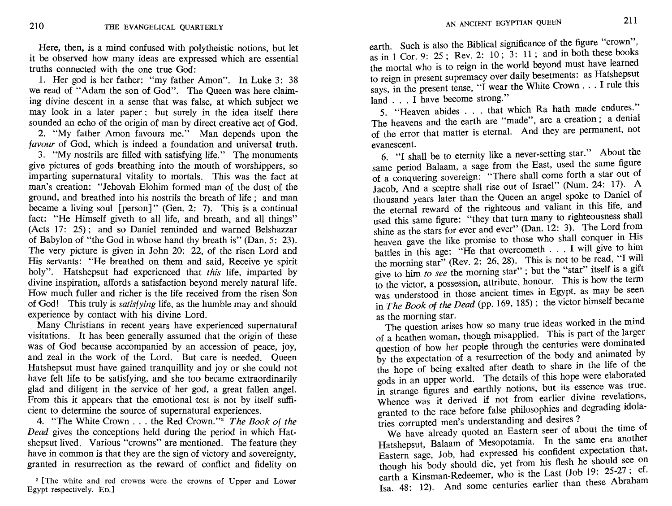Here. then. is a mind confused with polytheistic notions, but let it be observed how many ideas are expressed which are essential truths connected with the one true God:

1. Her god is her father: "my father Amon". In Luke 3: 38 we read of "Adam the son of God". The Queen was here claiming divine descent in a sense that was false. at which subject we may look in a later paper; but surely in the idea itself there sounded an echo of the origin of man by direct creative act of God.

2. "My father Amon favours me." Man depends upon the favour of God, which is indeed a foundation and universal truth.

3. "My nostrils are filled with satisfying life." The monuments give pictures of gods breathing into the mouth of worshippers, so imparting supernatural vitality to mortals. This was the fact at man's creation: "Jehovah Elohim formed man of the dust of the ground, and breathed into his nostrils the breath of life; and man became a living soul [person]" (Gen. 2: 7). This is a continual fact: "He Himself giveth to all life, and breath, and all things" (Acts 17: 25); and so Daniel reminded and warned Belshazzar of Babylon of "the God in whose hand thy breath is" (Dan. 5: 23). The very picture is given in John 20: 22, of the risen Lord and His servants: "He breathed on them and said, Receive ye spirit holy". Hatshepsut had experienced that *this* life, imparted by divine inspiration, affords a satisfaction beyond merely natural life. How much fuller and richer is the life received from the risen Son of God! This truly is *satisfying* life, as the humble may and should experience by contact with his divine Lord.

Many Christians in recent years have experienced supernatural visitations. It has been generally assumed that the origin of these was of God because accompanied by an accession of peace, joy, and zeal in the work of the Lord. But care is needed. Queen Hatshepsut must have gained tranquillity and joy or she could not have felt life to be satisfying, and she too became extraordinarily glad and diligent in the service of her god, a great fallen angel. From this it appears that the emotional test is not by itself sufficient to determine the source of supernatural experiences.

4. "The White Crown ... the Red Crown."2 *The Book* of *the Dead* gives the conceptions held during the period in which Hatshepsut lived. Various "crowns" are mentioned. The feature they have in common is that they are the sign of victory and sovereignty, granted in resurrection as the reward of conflict and fidelity on

2 [The white and red crowns were the crowns of Upper and Lower Egypt respectively. ED.]

earth. Such is also the Biblical significance of the figure "crown", as in 1 Cor. 9: 25; Rev. 2: 10;  $3: 11$ ; and in both these books the mortal who is to reign in the world beyond must have learned to reign in present supremacy over daily besetments: as Hatshepsut says, in the present tense, "I wear the White Crown . . . I rule this land ... I have become strong."

5. "Heaven abides ... that which Ra hath made endures:" The heavens and the earth are "made", are a creation; a denial of the error that matter is eternal. And they are permanent, not evanescent.

6. "I shall be to eternity like a never-setting star." About the same period Balaam, a sage from the East, used the same figure of a conquering sovereign: "There shall come forth a star out of Jacob, And a sceptre shall rise out of Israel" (Num. 24: 17). A thousand years later than the Queen an angel spoke to Daniel of the eternal reward of the righteous and valiant in this life, and used this same figure: "they that turn many to righteousness shall shine as the stars for ever and ever" (Dan. 12: 3). The Lord from heaven gave the like promise to those who shall conquer in His battles in this age: "He that overcometh . . . I will give to him the morning star" (Rev. 2: 26, 28). This is not to be read, "I will give to him *to see* the morning star"; but the "star" itself is a gift to the victor, a possession, attribute, honour. This is how the term was understood in those ancient times in Egypt, as may be seen in *The Book* of *the Dead* (pp. 169, 185); the victor himself became by the morning star.<br>The use the stars for ever and ever" (Dan. 12: 3). The Lord from<br>heaven gave the like promise to those who shall conquer in His<br>battles in this age: "He that overcometh . . . I will give to him<br>the mo

The question arises how so many true ideas worked in the mind of a heathen woman, though misapplied. This is part of the larger question of how her people through the centuries were dominated by the expectation of a resurrection of the body and animated by the hope of being exalted after death to share in the life of the gods in an upper world. The details of this hope were elaborated in strange figures and earthly notions, but its essence was true. Whence was it derived if not from earlier divine revelations, granted to the race before false philosophies and degrading idolatries corrupted men's understanding and desires?

We have already quoted an Eastern seer of about the time of Hatshepsut, Balaam of Mesopotamia. In the same era another Eastern sage, Job, had expressed his confident expectation that, though his body should die, yet from his flesh he should see on earth a Kinsman-Redeemer, who is the Last (Job 19: 25-27; cf. Isa. 48: 12). And some centuries earlier than these Abraham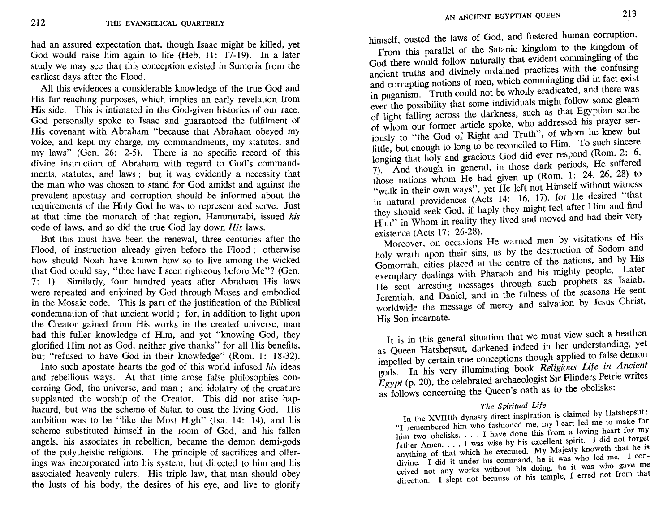had an assured expectation that, though Isaac might be killed, vet God would raise him again to life (Heb. 11: 17-19). In a later study we may see that this conception existed in Sumeria from the earliest days after the Flood.

All this evidences a considerable knowledge of the true God and His far-reaching purposes, which implies an early revelation from His side. This is intimated in the God-given histories of our race. God personally spoke to Isaac and guaranteed the fulfilment of His covenant with Abraham "because that Abraham obeyed my voice, and kept my charge, my commandments, my statutes, and my laws" (Gen. 26: 2-5). There is no specific record of this divine instruction of Abraham with regard to God's commandments, statutes, and laws: but it was evidently a necessity that the man who was chosen to stand for God amidst and against the prevalent apostasy and corruption should be informed about the requirements of the Holy God he was to represent and serve. Just at that time the monarch of that region. Hammurabi, issued his code of laws, and so did the true God lay down His laws.

But this must have been the renewal, three centuries after the Flood, of instruction already given before the Flood; otherwise how should Noah have known how so to live among the wicked that God could say, "thee have I seen righteous before Me"? (Gen. 7: 1). Similarly, four hundred years after Abraham His laws were repeated and enjoined by God through Moses and embodied in the Mosaic code. This is part of the justification of the Biblical condemnation of that ancient world; for, in addition to light upon the Creator gained from His works in the created universe, man had this fuller knowledge of Him, and yet "knowing God, they glorified Him not as God, neither give thanks" for all His benefits, but "refused to have God in their knowledge" (Rom. 1: 18-32).

Into such apostate hearts the god of this world infused his ideas and rebellious ways. At that time arose false philosophies concerning God, the universe, and man; and idolatry of the creature supplanted the worship of the Creator. This did not arise haphazard, but was the scheme of Satan to oust the living God. His ambition was to be "like the Most High" (Isa, 14: 14), and his scheme substituted himself in the room of God, and his fallen angels, his associates in rebellion, became the demon demi-gods of the polytheistic religions. The principle of sacrifices and offerings was incorporated into his system, but directed to him and his associated heavenly rulers. His triple law, that man should obey the lusts of his body, the desires of his eve, and live to glorify

himself, ousted the laws of God, and fostered human corruption.

From this parallel of the Satanic kingdom to the kingdom of God there would follow naturally that evident commingling of the ancient truths and divinely ordained practices with the confusing and corrupting notions of men, which commingling did in fact exist in paganism. Truth could not be wholly eradicated, and there was ever the possibility that some individuals might follow some gleam of light falling across the darkness, such as that Egyptian scribe of whom our former article spoke, who addressed his prayer serjously to "the God of Right and Truth", of whom he knew but little, but enough to long to be reconciled to Him. To such sincere longing that holy and gracious God did ever respond (Rom. 2: 6, 7). And though in general, in those dark periods, He suffered those nations whom He had given up (Rom. 1: 24, 26, 28) to "walk in their own ways", yet He left not Himself without witness in natural providences (Acts 14: 16, 17), for He desired "that they should seek God, if haply they might feel after Him and find Him" in Whom in reality they lived and moved and had their very existence (Acts 17: 26-28).

Moreover, on occasions He warned men by visitations of His holy wrath upon their sins, as by the destruction of Sodom and Gomorrah, cities placed at the centre of the nations, and by His exemplary dealings with Pharaoh and his mighty people. Later He sent arresting messages through such prophets as Isaiah, Jeremiah, and Daniel, and in the fulness of the seasons He sent worldwide the message of mercy and salvation by Jesus Christ, His Son incarnate.

It is in this general situation that we must view such a heathen as Queen Hatshepsut, darkened indeed in her understanding, yet impelled by certain true conceptions though applied to false demon gods. In his very illuminating book Religious Life in Ancient  $E$ gypt (p. 20), the celebrated archaeologist Sir Flinders Petrie writes as follows concerning the Queen's oath as to the obelisks:

## The Spiritual Life

In the XVIIIth dynasty direct inspiration is claimed by Hatshepsut: "I remembered him who fashioned me, my heart led me to make for him two obelisks. . . . I have done this from a loving heart for my father Amen. . . . I was wise by his excellent spirit. I did not forget anything of that which he executed. My Majesty knoweth that he is divine. I did it under his command, he it was who led me. I conceived not any works without his doing, he it was who gave me direction. I slept not because of his temple, I erred not from that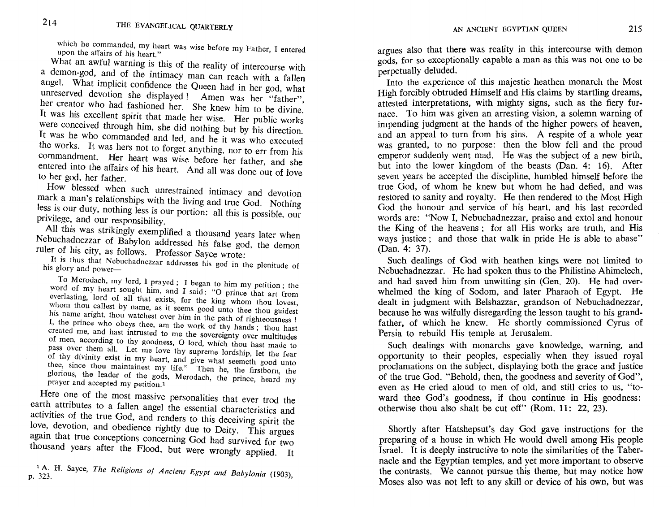which he commanded, my heart was wise before my Father, I entered upon the affairs of his heart."

What an awful warning is this of the reality of intercourse with a demon-god, and of the intimacy man can reach with a fallen angel. What implicit confidence the Queen had in her god, what unreserved devotion she displayed! Amen was her "father", her creator who had fashioned her. She knew him to be divine. It was his excellent spirit that made her wise. Her public works were conceived through him, she did nothing but by his direction. It was he who commanded and led, and he it was who executed the works. It was hers not to forget anything, nor to err from his commandment. Her heart was wise before her father, and she entered into the affairs of his heart. And all was done out of love to her god, her father.

How blessed when such unrestrained intimacy and devotion mark a man's relationships with the living and true God. Nothing less is our duty, nothing less is our portion: all this is possible, our privilege, and our responsibility.

All this Was strikingly exemplified a thousand years later when Nebuchadnezzar of Babylon addressed his false god, the demon ruler of his city, as follows. Professor Sayce wrote:

It is thus that Nebuchadnezzar addresses his god in the plenitude of his glory and power-

To Merodach, my lord, I prayed; I began to him my petition; the word of my heart sought him, and I said: "0 prince that art from everlasting, lord of all that exists, for the king whom thou lovest, whom thou callest by name, as it seems good unto thee thou guidest his name aright, thou watchest over him in the path of righteousness ! I, the prince who obeys thee, am the work of thy hands; thou hast created me, and hast intrusted to me the sovereignty over multitudes of men, according to thy goodness, 0 lord, which thou hast made to pass over them all. Let me love thy supreme lordship, let the fear of thy divinity exist in my heart, and give what seemeth good unto thee, since thou maintainest my life." Then he, the firstborn, the glorious, the leader of the gods, Merodach, the prince, heard my prayer and accepted my petition.1

Here one of the most massive personalities that ever trod the earth attributes to a fallen angel the essential characteristics and activities of the true God, and renders to this deceiving spirit the love, devotion, and obedience rightly due to Deity. This argues again that true conceptions concerning God had survived for two thousand years after the Flood, but were wrongly applied. It

<sup>1</sup>A. H. Sayee, *The Religions of Ancient Egypt and Babyionia (1903),*  p. 323.

argues also that there was reality in this intercourse with demon argues also that there was really in this interesting with definition gods, for so exceptionally capable a man as this was not one to be argues also that there was reality in this<br>gods, for so exceptionally capable a man<br>perpetually deluded.<br>Into the experience of this majestic h

Into the experience of this majestic heathen monarch the Most High forcibly obtruded Himself and His claims by startling dreams, attested interpretations, with mighty signs, such as the fiery furnace. To him was given an arresting vision, a solemn warning of impending judgment at the hands of the higher powers of heaven. and an appeal to turn from his sins. A respite of a whole year was granted, to no purpose: then the blow fell and the proud emperor suddenly went mad. He was the subject of a new birth, but into the lower kingdom of the beasts (Dan. 4: 16). After seven years he accepted the discipline, humbled himself before the true God, of whom he knew but whom he had defied, and was restored to sanity and royalty. He then rendered to the Most HIgh God the honour and service of his heart, and his last recorded words are: "Now I, Nebuchadnezzar, praise and extol and honour the King of the heavens; for all His works are truth, and His ways justice; and those that walk in pride He is able to abase" (Dan. 4: 37).

Such dealings of God with heathen kings were not limited to Nebuchadnezzar. He had spoken thus to the Philistine Ahimelech. and had saved him from unwitting sin (Gen. 20). He had overwhelmed the king of Sodom, and later Pharaoh of Egypt. He dealt in judgment with Belshazzar, grandson of Nebuchadnezzar, because he was wilfully disregarding the lesson taught to his grandfather, of which he knew. He shortly commissioned Cyrus of Persia to rebuild His temple at Jerusalem.

Such dealings with monarchs gave knowledge, warning, and opportunity to their peoples, especially when they issued royal proclamations on the subject, displaying both the grace and justice of the true God. "Behold, then, the goodness and severity of God", even as He cried aloud to men of old, and still cries to us, "toward thee God's goodness, if thou continue in His goodness: otherwise thou also shalt be cut off" (Rom. **11:** 22, 23).

Shortly after Hatshepsut's day God gave instructions. for the preparing of a house in which He would dwell among His people Israel. It is deeply instructive to note the similarities of the Tabernacle and the Egyptian temples, and yet more important to observe the contrasts. We cannot pursue this theme, but may notice how Moses also was not left to any skill or device of his own, but was